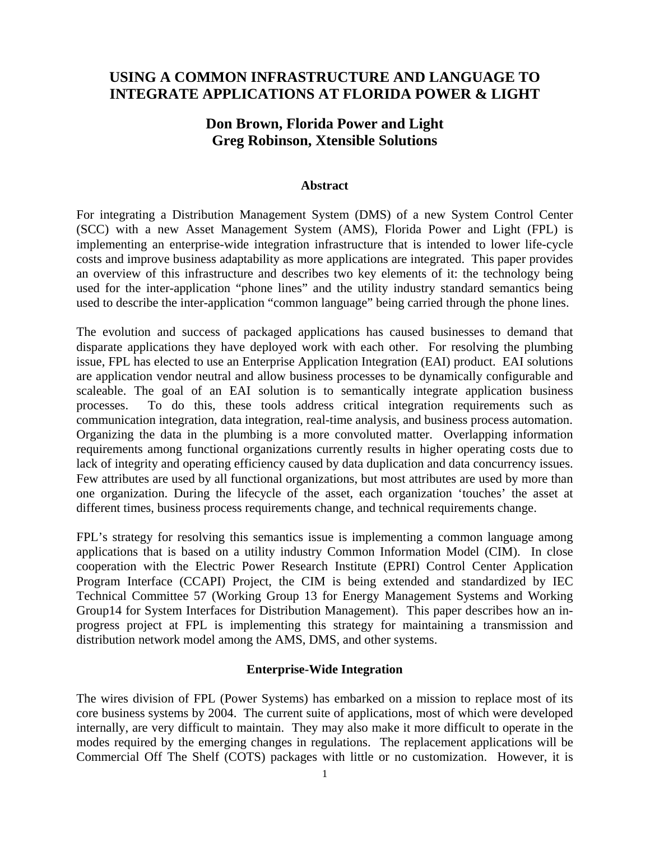# **USING A COMMON INFRASTRUCTURE AND LANGUAGE TO INTEGRATE APPLICATIONS AT FLORIDA POWER & LIGHT**

# **Don Brown, Florida Power and Light Greg Robinson, Xtensible Solutions**

#### **Abstract**

For integrating a Distribution Management System (DMS) of a new System Control Center (SCC) with a new Asset Management System (AMS), Florida Power and Light (FPL) is implementing an enterprise-wide integration infrastructure that is intended to lower life-cycle costs and improve business adaptability as more applications are integrated. This paper provides an overview of this infrastructure and describes two key elements of it: the technology being used for the inter-application "phone lines" and the utility industry standard semantics being used to describe the inter-application "common language" being carried through the phone lines.

The evolution and success of packaged applications has caused businesses to demand that disparate applications they have deployed work with each other. For resolving the plumbing issue, FPL has elected to use an Enterprise Application Integration (EAI) product. EAI solutions are application vendor neutral and allow business processes to be dynamically configurable and scaleable. The goal of an EAI solution is to semantically integrate application business processes. To do this, these tools address critical integration requirements such as communication integration, data integration, real-time analysis, and business process automation. Organizing the data in the plumbing is a more convoluted matter. Overlapping information requirements among functional organizations currently results in higher operating costs due to lack of integrity and operating efficiency caused by data duplication and data concurrency issues. Few attributes are used by all functional organizations, but most attributes are used by more than one organization. During the lifecycle of the asset, each organization 'touches' the asset at different times, business process requirements change, and technical requirements change.

FPL's strategy for resolving this semantics issue is implementing a common language among applications that is based on a utility industry Common Information Model (CIM). In close cooperation with the Electric Power Research Institute (EPRI) Control Center Application Program Interface (CCAPI) Project, the CIM is being extended and standardized by IEC Technical Committee 57 (Working Group 13 for Energy Management Systems and Working Group14 for System Interfaces for Distribution Management). This paper describes how an inprogress project at FPL is implementing this strategy for maintaining a transmission and distribution network model among the AMS, DMS, and other systems.

#### **Enterprise-Wide Integration**

The wires division of FPL (Power Systems) has embarked on a mission to replace most of its core business systems by 2004. The current suite of applications, most of which were developed internally, are very difficult to maintain. They may also make it more difficult to operate in the modes required by the emerging changes in regulations. The replacement applications will be Commercial Off The Shelf (COTS) packages with little or no customization. However, it is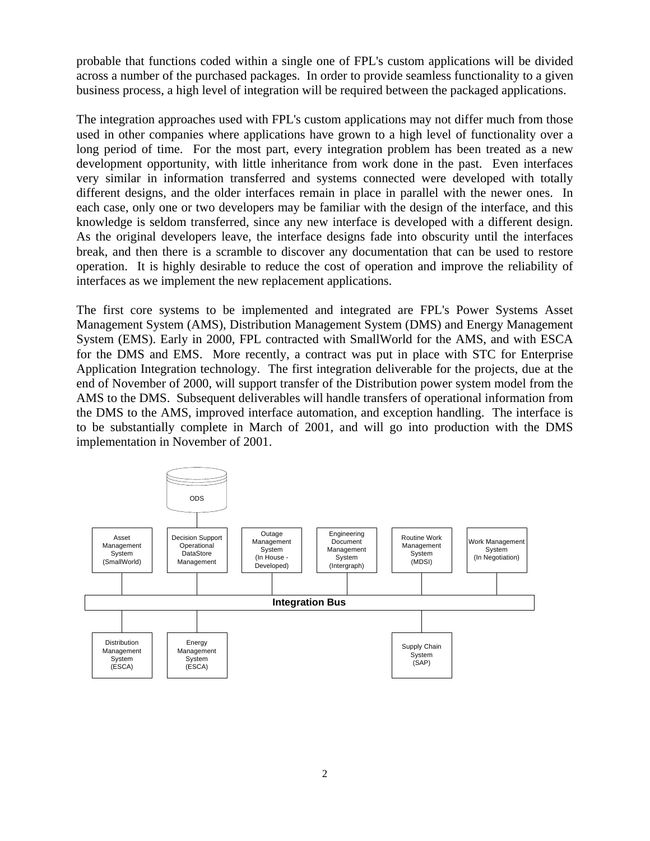probable that functions coded within a single one of FPL's custom applications will be divided across a number of the purchased packages. In order to provide seamless functionality to a given business process, a high level of integration will be required between the packaged applications.

The integration approaches used with FPL's custom applications may not differ much from those used in other companies where applications have grown to a high level of functionality over a long period of time. For the most part, every integration problem has been treated as a new development opportunity, with little inheritance from work done in the past. Even interfaces very similar in information transferred and systems connected were developed with totally different designs, and the older interfaces remain in place in parallel with the newer ones. In each case, only one or two developers may be familiar with the design of the interface, and this knowledge is seldom transferred, since any new interface is developed with a different design. As the original developers leave, the interface designs fade into obscurity until the interfaces break, and then there is a scramble to discover any documentation that can be used to restore operation. It is highly desirable to reduce the cost of operation and improve the reliability of interfaces as we implement the new replacement applications.

The first core systems to be implemented and integrated are FPL's Power Systems Asset Management System (AMS), Distribution Management System (DMS) and Energy Management System (EMS). Early in 2000, FPL contracted with SmallWorld for the AMS, and with ESCA for the DMS and EMS. More recently, a contract was put in place with STC for Enterprise Application Integration technology. The first integration deliverable for the projects, due at the end of November of 2000, will support transfer of the Distribution power system model from the AMS to the DMS. Subsequent deliverables will handle transfers of operational information from the DMS to the AMS, improved interface automation, and exception handling. The interface is to be substantially complete in March of 2001, and will go into production with the DMS implementation in November of 2001.

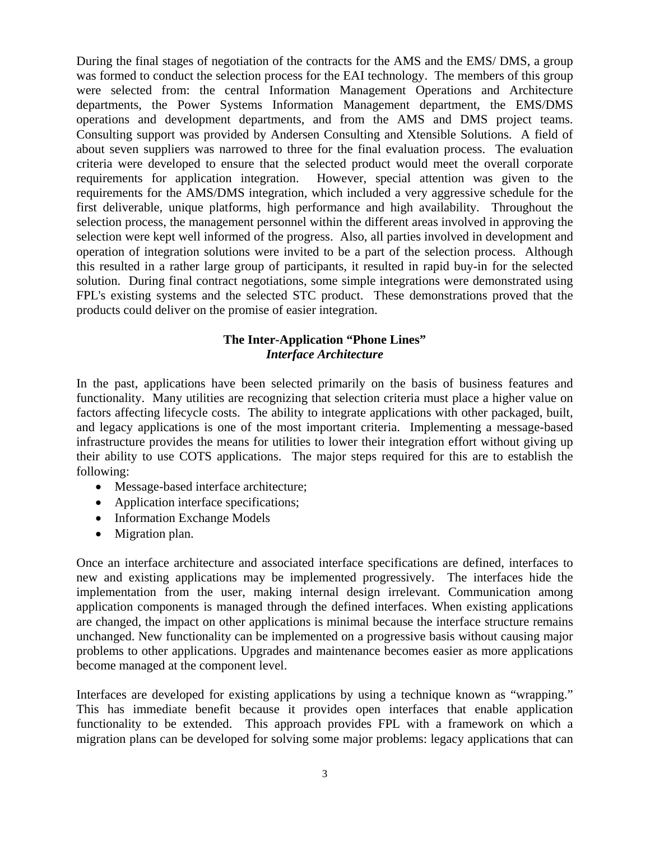During the final stages of negotiation of the contracts for the AMS and the EMS/ DMS, a group was formed to conduct the selection process for the EAI technology. The members of this group were selected from: the central Information Management Operations and Architecture departments, the Power Systems Information Management department, the EMS/DMS operations and development departments, and from the AMS and DMS project teams. Consulting support was provided by Andersen Consulting and Xtensible Solutions. A field of about seven suppliers was narrowed to three for the final evaluation process. The evaluation criteria were developed to ensure that the selected product would meet the overall corporate requirements for application integration. However, special attention was given to the requirements for the AMS/DMS integration, which included a very aggressive schedule for the first deliverable, unique platforms, high performance and high availability. Throughout the selection process, the management personnel within the different areas involved in approving the selection were kept well informed of the progress. Also, all parties involved in development and operation of integration solutions were invited to be a part of the selection process. Although this resulted in a rather large group of participants, it resulted in rapid buy-in for the selected solution. During final contract negotiations, some simple integrations were demonstrated using FPL's existing systems and the selected STC product. These demonstrations proved that the products could deliver on the promise of easier integration.

## **The Inter-Application "Phone Lines"** *Interface Architecture*

In the past, applications have been selected primarily on the basis of business features and functionality. Many utilities are recognizing that selection criteria must place a higher value on factors affecting lifecycle costs. The ability to integrate applications with other packaged, built, and legacy applications is one of the most important criteria. Implementing a message-based infrastructure provides the means for utilities to lower their integration effort without giving up their ability to use COTS applications. The major steps required for this are to establish the following:

- Message-based interface architecture;
- Application interface specifications;
- Information Exchange Models
- Migration plan.

Once an interface architecture and associated interface specifications are defined, interfaces to new and existing applications may be implemented progressively. The interfaces hide the implementation from the user, making internal design irrelevant. Communication among application components is managed through the defined interfaces. When existing applications are changed, the impact on other applications is minimal because the interface structure remains unchanged. New functionality can be implemented on a progressive basis without causing major problems to other applications. Upgrades and maintenance becomes easier as more applications become managed at the component level.

Interfaces are developed for existing applications by using a technique known as "wrapping." This has immediate benefit because it provides open interfaces that enable application functionality to be extended. This approach provides FPL with a framework on which a migration plans can be developed for solving some major problems: legacy applications that can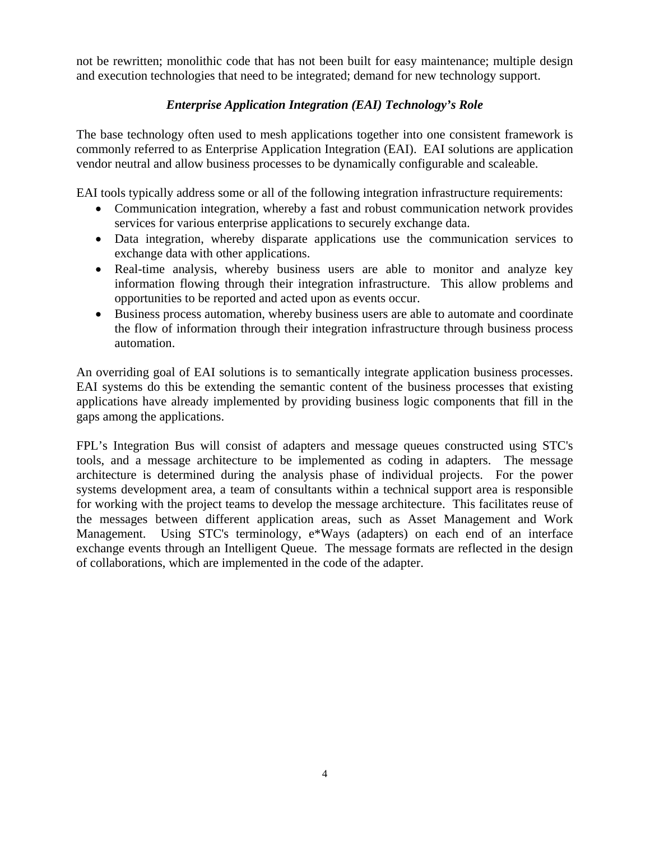not be rewritten; monolithic code that has not been built for easy maintenance; multiple design and execution technologies that need to be integrated; demand for new technology support.

## *Enterprise Application Integration (EAI) Technology's Role*

The base technology often used to mesh applications together into one consistent framework is commonly referred to as Enterprise Application Integration (EAI). EAI solutions are application vendor neutral and allow business processes to be dynamically configurable and scaleable.

EAI tools typically address some or all of the following integration infrastructure requirements:

- Communication integration, whereby a fast and robust communication network provides services for various enterprise applications to securely exchange data.
- Data integration, whereby disparate applications use the communication services to exchange data with other applications.
- Real-time analysis, whereby business users are able to monitor and analyze key information flowing through their integration infrastructure. This allow problems and opportunities to be reported and acted upon as events occur.
- Business process automation, whereby business users are able to automate and coordinate the flow of information through their integration infrastructure through business process automation.

An overriding goal of EAI solutions is to semantically integrate application business processes. EAI systems do this be extending the semantic content of the business processes that existing applications have already implemented by providing business logic components that fill in the gaps among the applications.

FPL's Integration Bus will consist of adapters and message queues constructed using STC's tools, and a message architecture to be implemented as coding in adapters. The message architecture is determined during the analysis phase of individual projects. For the power systems development area, a team of consultants within a technical support area is responsible for working with the project teams to develop the message architecture. This facilitates reuse of the messages between different application areas, such as Asset Management and Work Management. Using STC's terminology, e\*Ways (adapters) on each end of an interface exchange events through an Intelligent Queue. The message formats are reflected in the design of collaborations, which are implemented in the code of the adapter.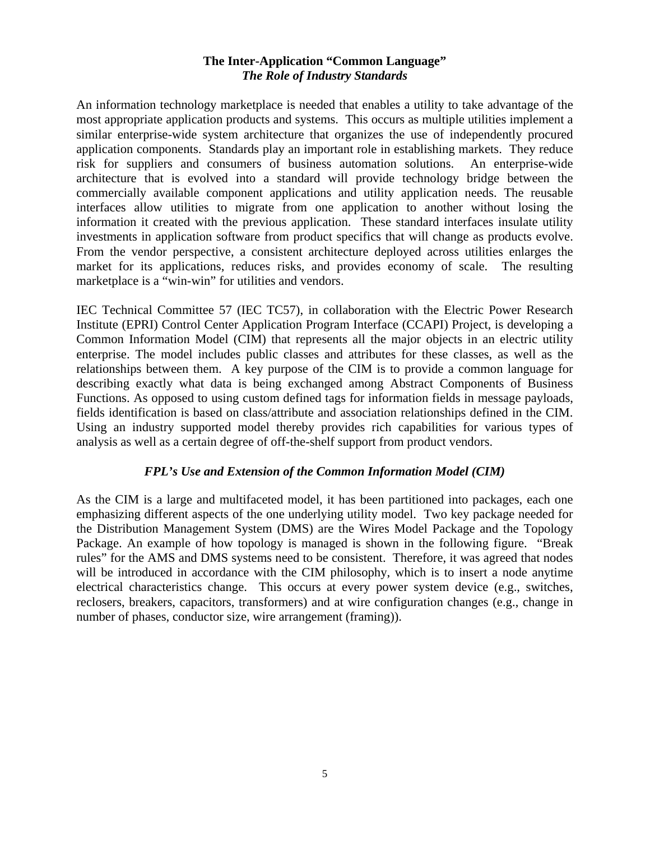## **The Inter-Application "Common Language"**  *The Role of Industry Standards*

An information technology marketplace is needed that enables a utility to take advantage of the most appropriate application products and systems. This occurs as multiple utilities implement a similar enterprise-wide system architecture that organizes the use of independently procured application components. Standards play an important role in establishing markets. They reduce risk for suppliers and consumers of business automation solutions. An enterprise-wide architecture that is evolved into a standard will provide technology bridge between the commercially available component applications and utility application needs. The reusable interfaces allow utilities to migrate from one application to another without losing the information it created with the previous application. These standard interfaces insulate utility investments in application software from product specifics that will change as products evolve. From the vendor perspective, a consistent architecture deployed across utilities enlarges the market for its applications, reduces risks, and provides economy of scale. The resulting marketplace is a "win-win" for utilities and vendors.

IEC Technical Committee 57 (IEC TC57), in collaboration with the Electric Power Research Institute (EPRI) Control Center Application Program Interface (CCAPI) Project, is developing a Common Information Model (CIM) that represents all the major objects in an electric utility enterprise. The model includes public classes and attributes for these classes, as well as the relationships between them. A key purpose of the CIM is to provide a common language for describing exactly what data is being exchanged among Abstract Components of Business Functions. As opposed to using custom defined tags for information fields in message payloads, fields identification is based on class/attribute and association relationships defined in the CIM. Using an industry supported model thereby provides rich capabilities for various types of analysis as well as a certain degree of off-the-shelf support from product vendors.

## *FPL's Use and Extension of the Common Information Model (CIM)*

As the CIM is a large and multifaceted model, it has been partitioned into packages, each one emphasizing different aspects of the one underlying utility model. Two key package needed for the Distribution Management System (DMS) are the Wires Model Package and the Topology Package. An example of how topology is managed is shown in the following figure. "Break rules" for the AMS and DMS systems need to be consistent. Therefore, it was agreed that nodes will be introduced in accordance with the CIM philosophy, which is to insert a node anytime electrical characteristics change. This occurs at every power system device (e.g., switches, reclosers, breakers, capacitors, transformers) and at wire configuration changes (e.g., change in number of phases, conductor size, wire arrangement (framing)).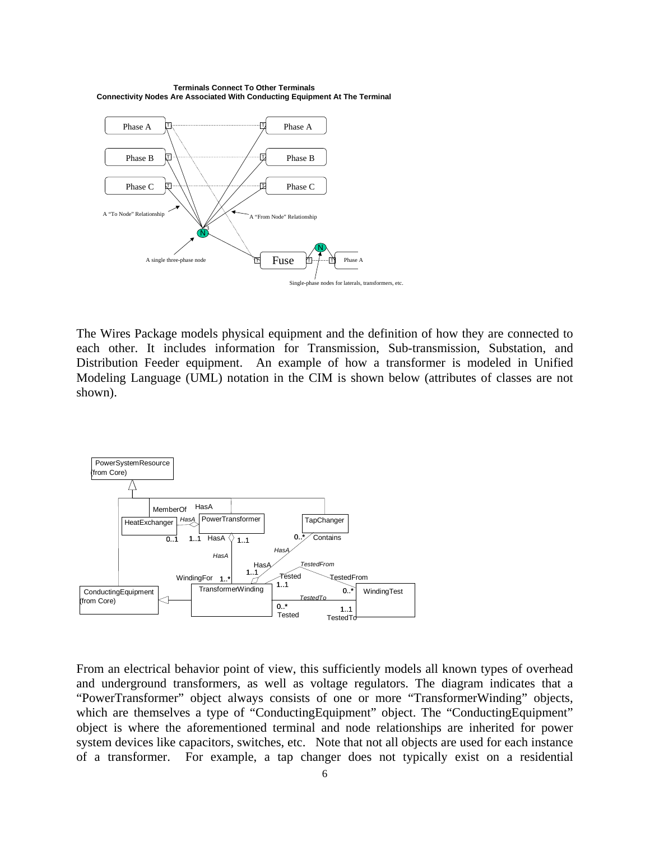**Terminals Connect To Other Terminals Connectivity Nodes Are Associated With Conducting Equipment At The Terminal**



The Wires Package models physical equipment and the definition of how they are connected to each other. It includes information for Transmission, Sub-transmission, Substation, and Distribution Feeder equipment. An example of how a transformer is modeled in Unified Modeling Language (UML) notation in the CIM is shown below (attributes of classes are not shown).



From an electrical behavior point of view, this sufficiently models all known types of overhead and underground transformers, as well as voltage regulators. The diagram indicates that a "PowerTransformer" object always consists of one or more "TransformerWinding" objects, which are themselves a type of "ConductingEquipment" object. The "ConductingEquipment" object is where the aforementioned terminal and node relationships are inherited for power system devices like capacitors, switches, etc. Note that not all objects are used for each instance of a transformer. For example, a tap changer does not typically exist on a residential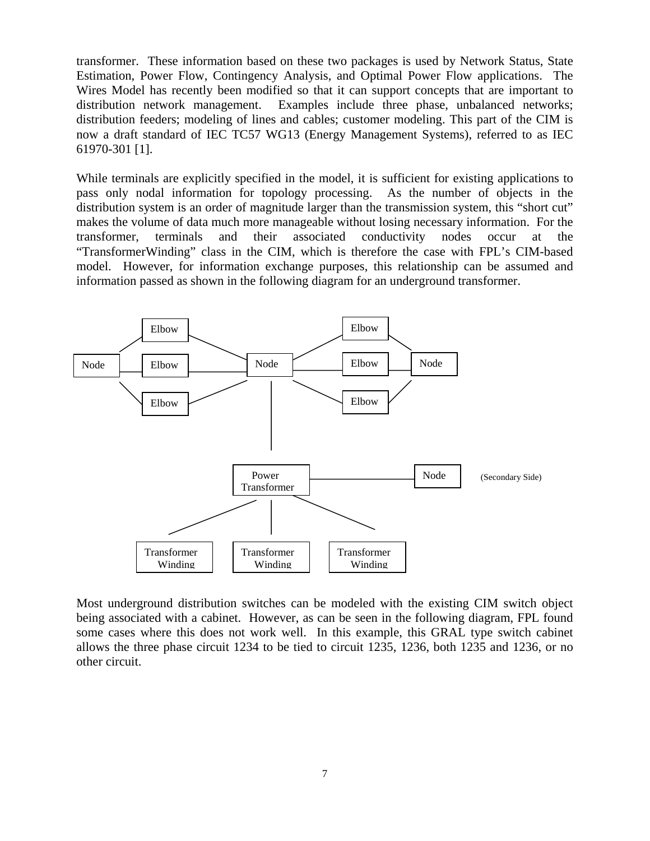transformer. These information based on these two packages is used by Network Status, State Estimation, Power Flow, Contingency Analysis, and Optimal Power Flow applications. The Wires Model has recently been modified so that it can support concepts that are important to distribution network management. Examples include three phase, unbalanced networks; distribution feeders; modeling of lines and cables; customer modeling. This part of the CIM is now a draft standard of IEC TC57 WG13 (Energy Management Systems), referred to as IEC 61970-301 [1].

While terminals are explicitly specified in the model, it is sufficient for existing applications to pass only nodal information for topology processing. As the number of objects in the distribution system is an order of magnitude larger than the transmission system, this "short cut" makes the volume of data much more manageable without losing necessary information. For the transformer, terminals and their associated conductivity nodes occur at the "TransformerWinding" class in the CIM, which is therefore the case with FPL's CIM-based model. However, for information exchange purposes, this relationship can be assumed and information passed as shown in the following diagram for an underground transformer.



Most underground distribution switches can be modeled with the existing CIM switch object being associated with a cabinet. However, as can be seen in the following diagram, FPL found some cases where this does not work well. In this example, this GRAL type switch cabinet allows the three phase circuit 1234 to be tied to circuit 1235, 1236, both 1235 and 1236, or no other circuit.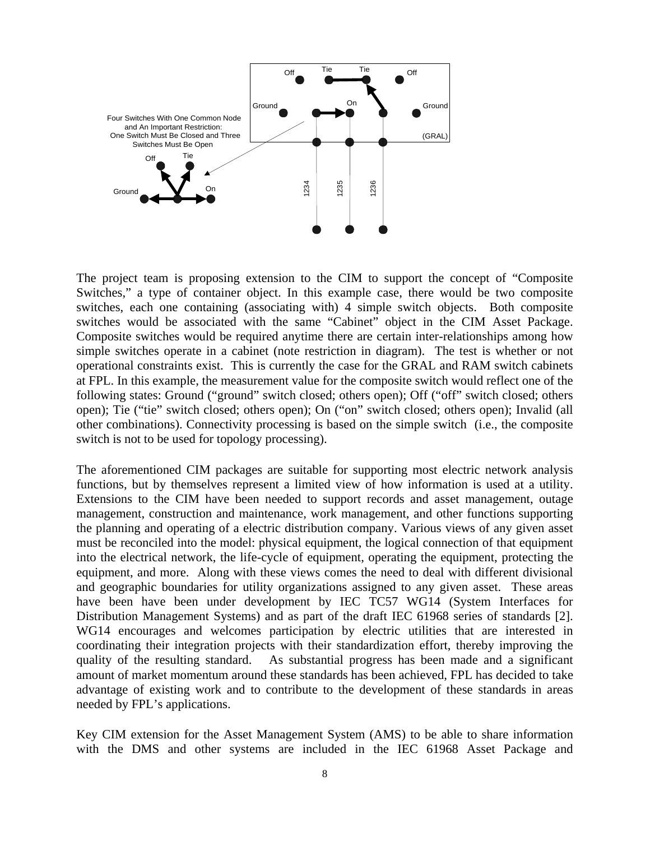

The project team is proposing extension to the CIM to support the concept of "Composite Switches," a type of container object. In this example case, there would be two composite switches, each one containing (associating with) 4 simple switch objects. Both composite switches would be associated with the same "Cabinet" object in the CIM Asset Package. Composite switches would be required anytime there are certain inter-relationships among how simple switches operate in a cabinet (note restriction in diagram). The test is whether or not operational constraints exist. This is currently the case for the GRAL and RAM switch cabinets at FPL. In this example, the measurement value for the composite switch would reflect one of the following states: Ground ("ground" switch closed; others open); Off ("off" switch closed; others open); Tie ("tie" switch closed; others open); On ("on" switch closed; others open); Invalid (all other combinations). Connectivity processing is based on the simple switch (i.e., the composite switch is not to be used for topology processing).

The aforementioned CIM packages are suitable for supporting most electric network analysis functions, but by themselves represent a limited view of how information is used at a utility. Extensions to the CIM have been needed to support records and asset management, outage management, construction and maintenance, work management, and other functions supporting the planning and operating of a electric distribution company. Various views of any given asset must be reconciled into the model: physical equipment, the logical connection of that equipment into the electrical network, the life-cycle of equipment, operating the equipment, protecting the equipment, and more. Along with these views comes the need to deal with different divisional and geographic boundaries for utility organizations assigned to any given asset. These areas have been have been under development by IEC TC57 WG14 (System Interfaces for Distribution Management Systems) and as part of the draft IEC 61968 series of standards [2]. WG14 encourages and welcomes participation by electric utilities that are interested in coordinating their integration projects with their standardization effort, thereby improving the quality of the resulting standard. As substantial progress has been made and a significant amount of market momentum around these standards has been achieved, FPL has decided to take advantage of existing work and to contribute to the development of these standards in areas needed by FPL's applications.

Key CIM extension for the Asset Management System (AMS) to be able to share information with the DMS and other systems are included in the IEC 61968 Asset Package and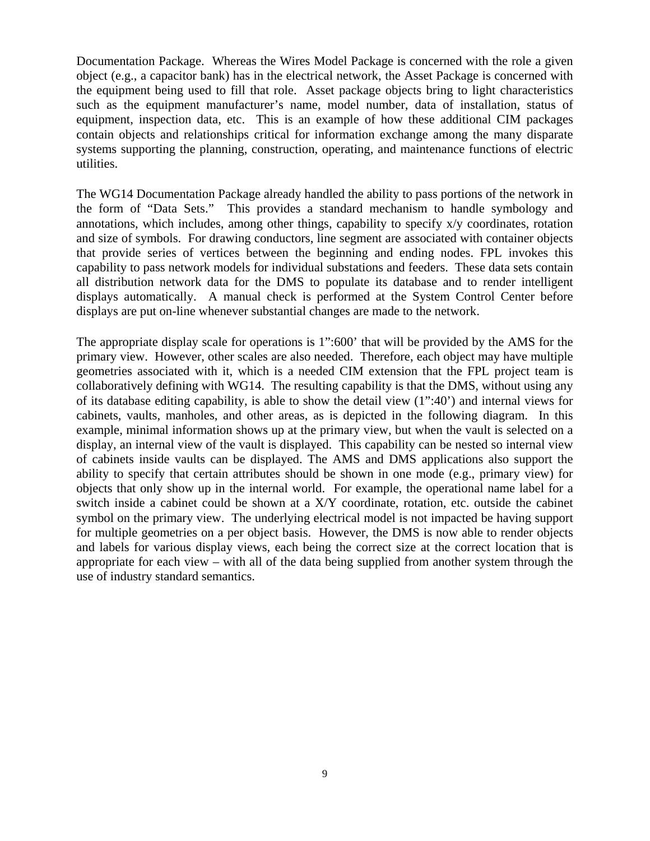Documentation Package. Whereas the Wires Model Package is concerned with the role a given object (e.g., a capacitor bank) has in the electrical network, the Asset Package is concerned with the equipment being used to fill that role. Asset package objects bring to light characteristics such as the equipment manufacturer's name, model number, data of installation, status of equipment, inspection data, etc. This is an example of how these additional CIM packages contain objects and relationships critical for information exchange among the many disparate systems supporting the planning, construction, operating, and maintenance functions of electric utilities.

The WG14 Documentation Package already handled the ability to pass portions of the network in the form of "Data Sets." This provides a standard mechanism to handle symbology and annotations, which includes, among other things, capability to specify x/y coordinates, rotation and size of symbols. For drawing conductors, line segment are associated with container objects that provide series of vertices between the beginning and ending nodes. FPL invokes this capability to pass network models for individual substations and feeders. These data sets contain all distribution network data for the DMS to populate its database and to render intelligent displays automatically. A manual check is performed at the System Control Center before displays are put on-line whenever substantial changes are made to the network.

The appropriate display scale for operations is 1":600' that will be provided by the AMS for the primary view. However, other scales are also needed. Therefore, each object may have multiple geometries associated with it, which is a needed CIM extension that the FPL project team is collaboratively defining with WG14. The resulting capability is that the DMS, without using any of its database editing capability, is able to show the detail view (1":40') and internal views for cabinets, vaults, manholes, and other areas, as is depicted in the following diagram. In this example, minimal information shows up at the primary view, but when the vault is selected on a display, an internal view of the vault is displayed. This capability can be nested so internal view of cabinets inside vaults can be displayed. The AMS and DMS applications also support the ability to specify that certain attributes should be shown in one mode (e.g., primary view) for objects that only show up in the internal world. For example, the operational name label for a switch inside a cabinet could be shown at a X/Y coordinate, rotation, etc. outside the cabinet symbol on the primary view. The underlying electrical model is not impacted be having support for multiple geometries on a per object basis. However, the DMS is now able to render objects and labels for various display views, each being the correct size at the correct location that is appropriate for each view – with all of the data being supplied from another system through the use of industry standard semantics.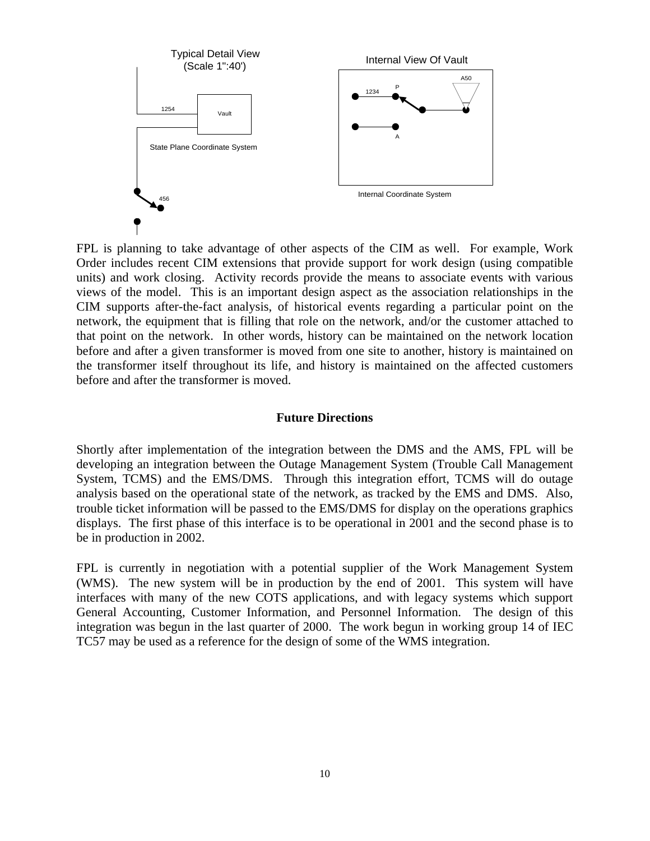

FPL is planning to take advantage of other aspects of the CIM as well. For example, Work Order includes recent CIM extensions that provide support for work design (using compatible units) and work closing. Activity records provide the means to associate events with various views of the model. This is an important design aspect as the association relationships in the CIM supports after-the-fact analysis, of historical events regarding a particular point on the network, the equipment that is filling that role on the network, and/or the customer attached to that point on the network. In other words, history can be maintained on the network location before and after a given transformer is moved from one site to another, history is maintained on the transformer itself throughout its life, and history is maintained on the affected customers before and after the transformer is moved.

#### **Future Directions**

Shortly after implementation of the integration between the DMS and the AMS, FPL will be developing an integration between the Outage Management System (Trouble Call Management System, TCMS) and the EMS/DMS. Through this integration effort, TCMS will do outage analysis based on the operational state of the network, as tracked by the EMS and DMS. Also, trouble ticket information will be passed to the EMS/DMS for display on the operations graphics displays. The first phase of this interface is to be operational in 2001 and the second phase is to be in production in 2002.

FPL is currently in negotiation with a potential supplier of the Work Management System (WMS). The new system will be in production by the end of 2001. This system will have interfaces with many of the new COTS applications, and with legacy systems which support General Accounting, Customer Information, and Personnel Information. The design of this integration was begun in the last quarter of 2000. The work begun in working group 14 of IEC TC57 may be used as a reference for the design of some of the WMS integration.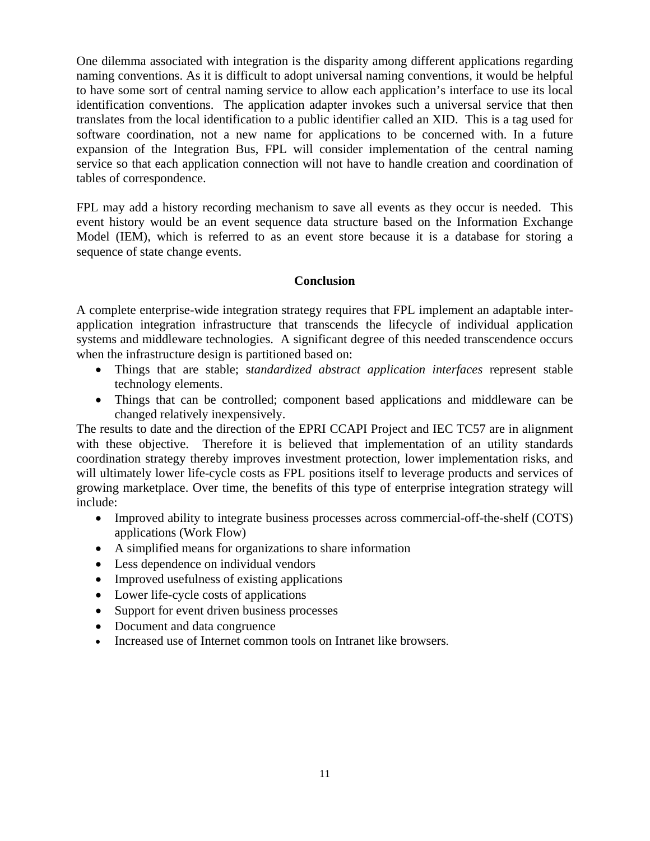One dilemma associated with integration is the disparity among different applications regarding naming conventions. As it is difficult to adopt universal naming conventions, it would be helpful to have some sort of central naming service to allow each application's interface to use its local identification conventions. The application adapter invokes such a universal service that then translates from the local identification to a public identifier called an XID. This is a tag used for software coordination, not a new name for applications to be concerned with. In a future expansion of the Integration Bus, FPL will consider implementation of the central naming service so that each application connection will not have to handle creation and coordination of tables of correspondence.

FPL may add a history recording mechanism to save all events as they occur is needed. This event history would be an event sequence data structure based on the Information Exchange Model (IEM), which is referred to as an event store because it is a database for storing a sequence of state change events.

## **Conclusion**

A complete enterprise-wide integration strategy requires that FPL implement an adaptable interapplication integration infrastructure that transcends the lifecycle of individual application systems and middleware technologies. A significant degree of this needed transcendence occurs when the infrastructure design is partitioned based on:

- Things that are stable; s*tandardized abstract application interfaces* represent stable technology elements.
- Things that can be controlled; component based applications and middleware can be changed relatively inexpensively.

The results to date and the direction of the EPRI CCAPI Project and IEC TC57 are in alignment with these objective. Therefore it is believed that implementation of an utility standards coordination strategy thereby improves investment protection, lower implementation risks, and will ultimately lower life-cycle costs as FPL positions itself to leverage products and services of growing marketplace. Over time, the benefits of this type of enterprise integration strategy will include:

- Improved ability to integrate business processes across commercial-off-the-shelf (COTS) applications (Work Flow)
- A simplified means for organizations to share information
- Less dependence on individual vendors
- Improved usefulness of existing applications
- Lower life-cycle costs of applications
- Support for event driven business processes
- Document and data congruence
- Increased use of Internet common tools on Intranet like browsers.